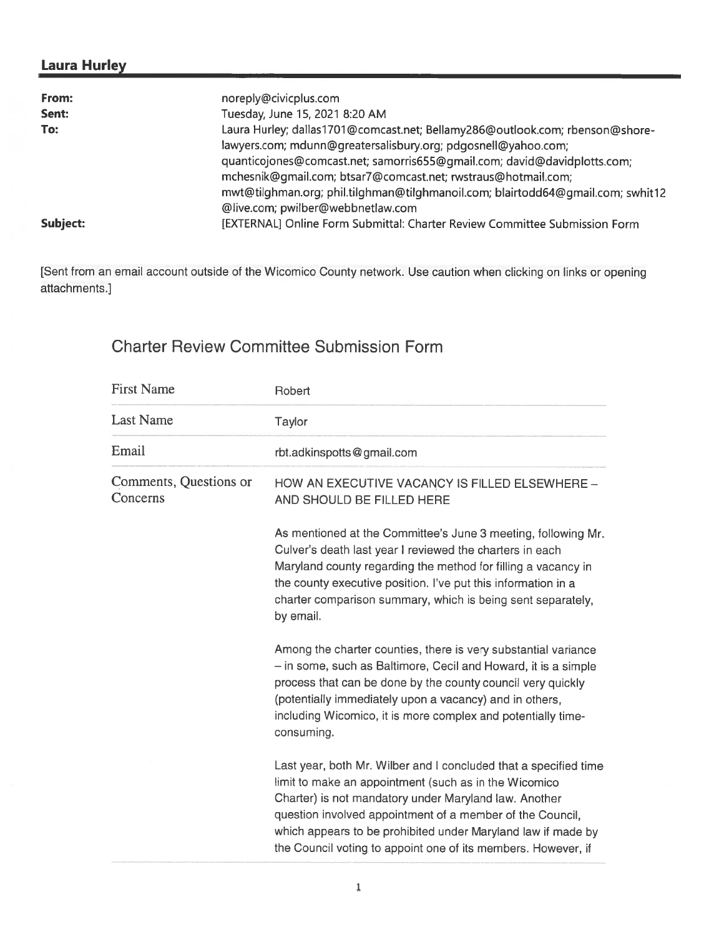## Laura Hurley

| From:    | noreply@civicplus.com                                                           |
|----------|---------------------------------------------------------------------------------|
| Sent:    | Tuesday, June 15, 2021 8:20 AM                                                  |
| To:      | Laura Hurley; dallas1701@comcast.net; Bellamy286@outlook.com; rbenson@shore-    |
|          | lawyers.com; mdunn@greatersalisbury.org; pdgosnell@yahoo.com;                   |
|          | quanticojones@comcast.net; samorris655@gmail.com; david@davidplotts.com;        |
|          | mchesnik@gmail.com; btsar7@comcast.net; rwstraus@hotmail.com;                   |
|          | mwt@tilghman.org; phil.tilghman@tilghmanoil.com; blairtodd64@gmail.com; swhit12 |
|          | @live.com; pwilber@webbnetlaw.com                                               |
| Subject: | [EXTERNAL] Online Form Submittal: Charter Review Committee Submission Form      |

[Sent from an email account outside of the Wicomico County network. Use caution when clicking on links or opening attachments.]

# Charter Review Committee Submission Form

| <b>First Name</b>                  | Robert                                                                                                                                                                                                                                                                                                                                                                           |  |  |
|------------------------------------|----------------------------------------------------------------------------------------------------------------------------------------------------------------------------------------------------------------------------------------------------------------------------------------------------------------------------------------------------------------------------------|--|--|
| <b>Last Name</b>                   | Taylor                                                                                                                                                                                                                                                                                                                                                                           |  |  |
| Email                              | rbt.adkinspotts@gmail.com                                                                                                                                                                                                                                                                                                                                                        |  |  |
| Comments, Questions or<br>Concerns | HOW AN EXECUTIVE VACANCY IS FILLED ELSEWHERE -<br>AND SHOULD BE FILLED HERE                                                                                                                                                                                                                                                                                                      |  |  |
|                                    | As mentioned at the Committee's June 3 meeting, following Mr.<br>Culver's death last year I reviewed the charters in each<br>Maryland county regarding the method for filling a vacancy in<br>the county executive position. I've put this information in a<br>charter comparison summary, which is being sent separately,<br>by email.                                          |  |  |
|                                    | Among the charter counties, there is very substantial variance<br>- in some, such as Baltimore, Cecil and Howard, it is a simple<br>process that can be done by the county council very quickly<br>(potentially immediately upon a vacancy) and in others,<br>including Wicomico, it is more complex and potentially time-<br>consuming.                                         |  |  |
|                                    | Last year, both Mr. Wilber and I concluded that a specified time<br>limit to make an appointment (such as in the Wicomico<br>Charter) is not mandatory under Maryland law. Another<br>question involved appointment of a member of the Council,<br>which appears to be prohibited under Maryland law if made by<br>the Council voting to appoint one of its members. However, if |  |  |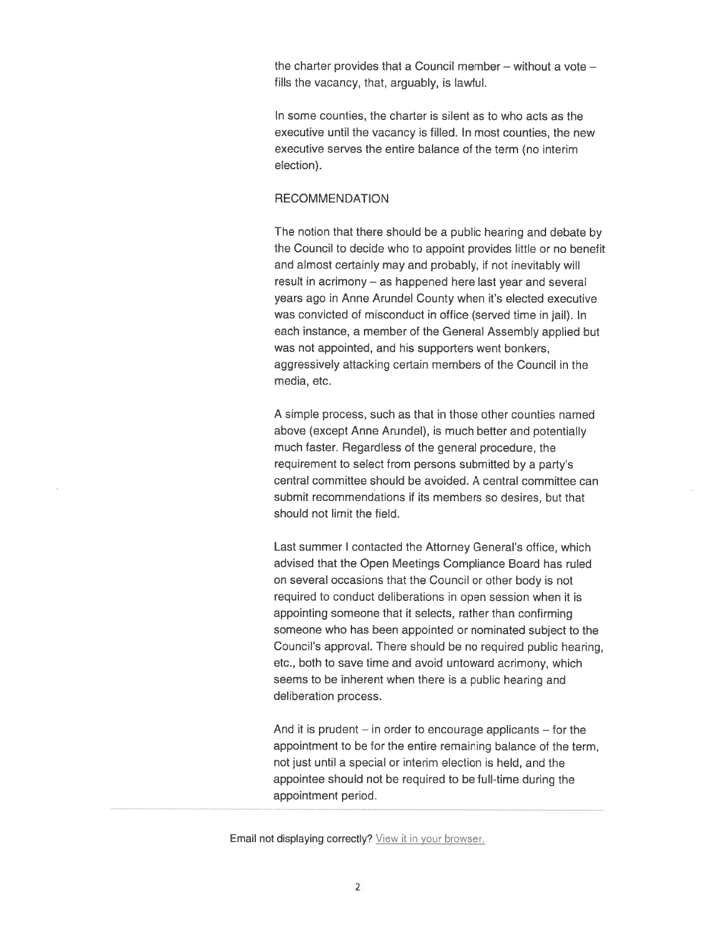the charter provides that <sup>a</sup> Council member — without <sup>a</sup> vote fills the vacancy, that, arguably, is lawful.

In some counties, the charter is silent as to who acts as the executive until the vacancy is filled. In most counties, the new executive serves the entire balance of the term (no interim election).

#### RECOMMENDATION

The notion that there should be <sup>a</sup> public hearing and debate by the Council to decide who to appoint provides little or no benefit and almost certainly may and probably, if not inevitably will result in acrimony — as happened here last year and several years ago in Anne Arundel County when it's elected executive was convicted of misconduct in office (served time in jail). In each instance, <sup>a</sup> member of the General Assembly applied but was not appointed, and his supporters went bonkers, aggressively attacking certain members of the Council in the media, etc.

A simple process, such as that in those other counties named above (except Anne Arundel), is much better and potentially much faster. Regardless of the general procedure, the requirement to select from persons submitted by <sup>a</sup> party's central committee should be avoided. A central committee can submit recommendations if its members so desires, but that should not limit the field.

Last summer I contacted the Attorney General's office, which advised that the Open Meetings Compliance Board has ruled on several occasions that the Council or other body is not required to conduct deliberations in open session when it is appointing someone that it selects, rather than confirming someone who has been appointed or nominated subject to the Council's approval. There should be no required public hearing, etc., both to save time and avoid untoward acrimony, which seems to be inherent when there is <sup>a</sup> public hearing and deliberation process.

And it is prudent  $-$  in order to encourage applicants  $-$  for the appointment to be for the entire remaining balance of the term, not just until <sup>a</sup> special or interim election is held, and the appointee should not be required to be full-time during the appointment period.

Email not displaying correctly? View it in your browser.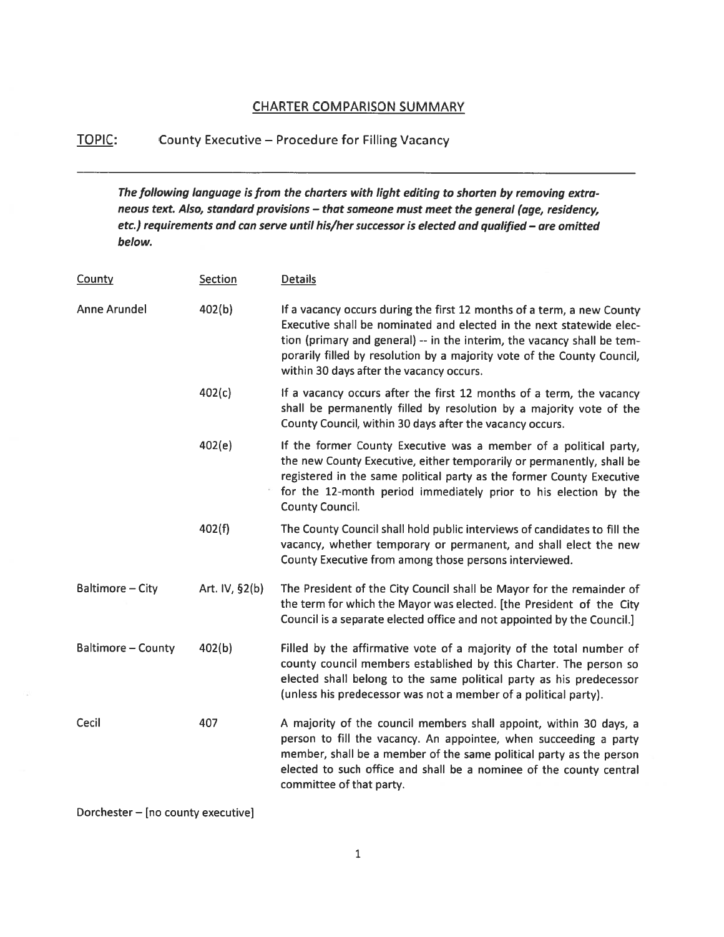### CHARTER COMPARISON SUMMARY

## TOPIC: County Executive — Procedure for Filling Vacancy

The following language is from the charters with light editing to shorten by removing extra neous text. Also, standard provisions — that someone must meet the general (age, residency, etc.) requirements and can serve until his/her successor is elected and qualified — are omitted below.

| Section        | <b>Details</b>                                                                                                                                                                                                                                                                                                                                   |
|----------------|--------------------------------------------------------------------------------------------------------------------------------------------------------------------------------------------------------------------------------------------------------------------------------------------------------------------------------------------------|
| 402(b)         | If a vacancy occurs during the first 12 months of a term, a new County<br>Executive shall be nominated and elected in the next statewide elec-<br>tion (primary and general) -- in the interim, the vacancy shall be tem-<br>porarily filled by resolution by a majority vote of the County Council,<br>within 30 days after the vacancy occurs. |
| 402(c)         | If a vacancy occurs after the first 12 months of a term, the vacancy<br>shall be permanently filled by resolution by a majority vote of the<br>County Council, within 30 days after the vacancy occurs.                                                                                                                                          |
| 402(e)         | If the former County Executive was a member of a political party,<br>the new County Executive, either temporarily or permanently, shall be<br>registered in the same political party as the former County Executive<br>for the 12-month period immediately prior to his election by the<br><b>County Council.</b>                                |
| 402(f)         | The County Council shall hold public interviews of candidates to fill the<br>vacancy, whether temporary or permanent, and shall elect the new<br>County Executive from among those persons interviewed.                                                                                                                                          |
| Art. IV, §2(b) | The President of the City Council shall be Mayor for the remainder of<br>the term for which the Mayor was elected. [the President of the City<br>Council is a separate elected office and not appointed by the Council.]                                                                                                                         |
| 402(b)         | Filled by the affirmative vote of a majority of the total number of<br>county council members established by this Charter. The person so<br>elected shall belong to the same political party as his predecessor<br>(unless his predecessor was not a member of a political party).                                                               |
| 407            | A majority of the council members shall appoint, within 30 days, a<br>person to fill the vacancy. An appointee, when succeeding a party<br>member, shall be a member of the same political party as the person<br>elected to such office and shall be a nominee of the county central<br>committee of that party.                                |
|                |                                                                                                                                                                                                                                                                                                                                                  |

Dorchester — [no county executive]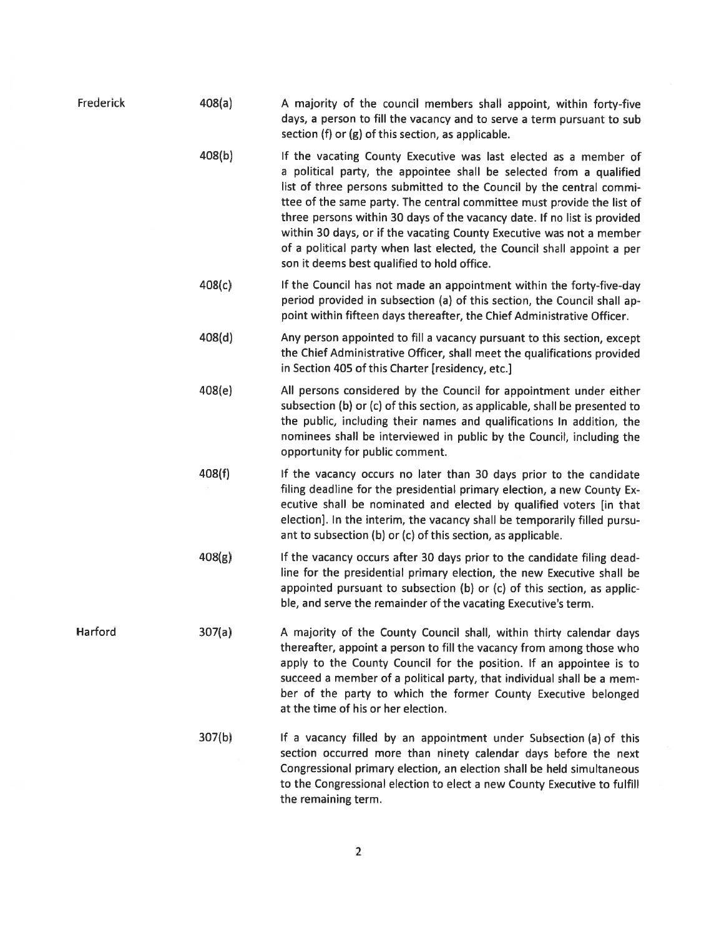| Frederick | 408(a) | A majority of the council members shall appoint, within forty-five<br>days, a person to fill the vacancy and to serve a term pursuant to sub<br>section (f) or $(g)$ of this section, as applicable.                                                                                                                                                                                                                                                                                                                                                                    |
|-----------|--------|-------------------------------------------------------------------------------------------------------------------------------------------------------------------------------------------------------------------------------------------------------------------------------------------------------------------------------------------------------------------------------------------------------------------------------------------------------------------------------------------------------------------------------------------------------------------------|
|           | 408(b) | If the vacating County Executive was last elected as a member of<br>a political party, the appointee shall be selected from a qualified<br>list of three persons submitted to the Council by the central commi-<br>ttee of the same party. The central committee must provide the list of<br>three persons within 30 days of the vacancy date. If no list is provided<br>within 30 days, or if the vacating County Executive was not a member<br>of a political party when last elected, the Council shall appoint a per<br>son it deems best qualified to hold office. |
|           | 408(c) | If the Council has not made an appointment within the forty-five-day<br>period provided in subsection (a) of this section, the Council shall ap-<br>point within fifteen days thereafter, the Chief Administrative Officer.                                                                                                                                                                                                                                                                                                                                             |
|           | 408(d) | Any person appointed to fill a vacancy pursuant to this section, except<br>the Chief Administrative Officer, shall meet the qualifications provided<br>in Section 405 of this Charter [residency, etc.]                                                                                                                                                                                                                                                                                                                                                                 |
|           | 408(e) | All persons considered by the Council for appointment under either<br>subsection (b) or (c) of this section, as applicable, shall be presented to<br>the public, including their names and qualifications In addition, the<br>nominees shall be interviewed in public by the Council, including the<br>opportunity for public comment.                                                                                                                                                                                                                                  |
|           | 408(f) | If the vacancy occurs no later than 30 days prior to the candidate<br>filing deadline for the presidential primary election, a new County Ex-<br>ecutive shall be nominated and elected by qualified voters [in that<br>election]. In the interim, the vacancy shall be temporarily filled pursu-<br>ant to subsection (b) or (c) of this section, as applicable.                                                                                                                                                                                                       |
|           | 408(g) | If the vacancy occurs after 30 days prior to the candidate filing dead-<br>line for the presidential primary election, the new Executive shall be<br>appointed pursuant to subsection (b) or (c) of this section, as applic-<br>ble, and serve the remainder of the vacating Executive's term.                                                                                                                                                                                                                                                                          |
| Harford   | 307(a) | A majority of the County Council shall, within thirty calendar days<br>thereafter, appoint a person to fill the vacancy from among those who<br>apply to the County Council for the position. If an appointee is to<br>succeed a member of a political party, that individual shall be a mem-<br>ber of the party to which the former County Executive belonged<br>at the time of his or her election.                                                                                                                                                                  |
|           | 307(b) | If a vacancy filled by an appointment under Subsection (a) of this<br>section occurred more than ninety calendar days before the next<br>Congressional primary election, an election shall be held simultaneous<br>to the Congressional election to elect a new County Executive to fulfill<br>the remaining term.                                                                                                                                                                                                                                                      |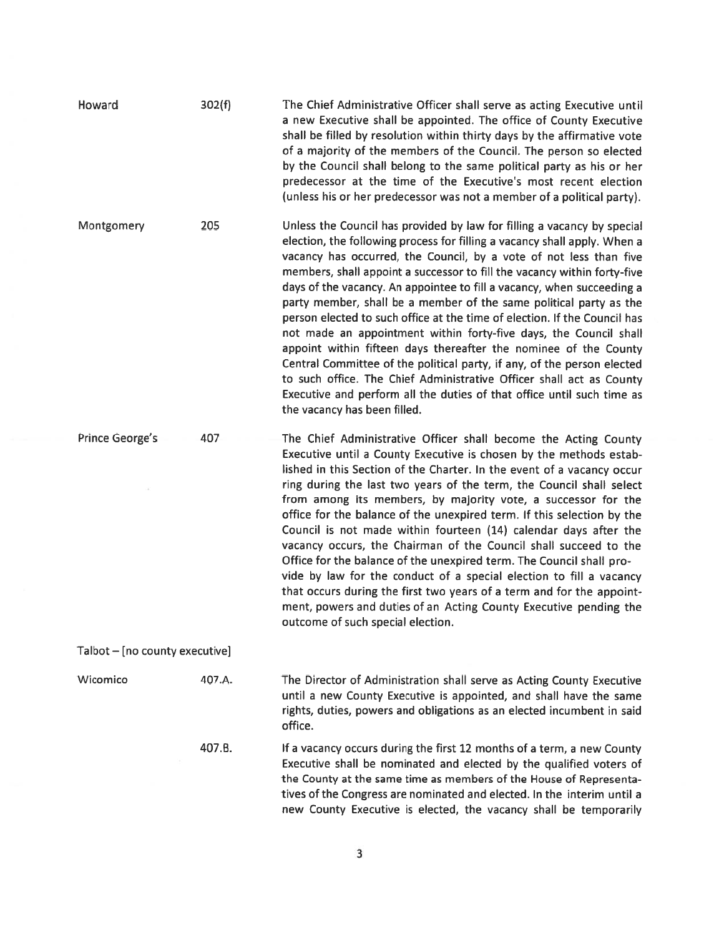| Howard                         | 302(f) | The Chief Administrative Officer shall serve as acting Executive until<br>a new Executive shall be appointed. The office of County Executive<br>shall be filled by resolution within thirty days by the affirmative vote<br>of a majority of the members of the Council. The person so elected<br>by the Council shall belong to the same political party as his or her<br>predecessor at the time of the Executive's most recent election<br>(unless his or her predecessor was not a member of a political party).                                                                                                                                                                                                                                                                                                                                                                                                                      |  |  |  |
|--------------------------------|--------|-------------------------------------------------------------------------------------------------------------------------------------------------------------------------------------------------------------------------------------------------------------------------------------------------------------------------------------------------------------------------------------------------------------------------------------------------------------------------------------------------------------------------------------------------------------------------------------------------------------------------------------------------------------------------------------------------------------------------------------------------------------------------------------------------------------------------------------------------------------------------------------------------------------------------------------------|--|--|--|
| Montgomery                     | 205    | Unless the Council has provided by law for filling a vacancy by special<br>election, the following process for filling a vacancy shall apply. When a<br>vacancy has occurred, the Council, by a vote of not less than five<br>members, shall appoint a successor to fill the vacancy within forty-five<br>days of the vacancy. An appointee to fill a vacancy, when succeeding a<br>party member, shall be a member of the same political party as the<br>person elected to such office at the time of election. If the Council has<br>not made an appointment within forty-five days, the Council shall<br>appoint within fifteen days thereafter the nominee of the County<br>Central Committee of the political party, if any, of the person elected<br>to such office. The Chief Administrative Officer shall act as County<br>Executive and perform all the duties of that office until such time as<br>the vacancy has been filled. |  |  |  |
| <b>Prince George's</b>         | 407    | The Chief Administrative Officer shall become the Acting County<br>Executive until a County Executive is chosen by the methods estab-<br>lished in this Section of the Charter. In the event of a vacancy occur<br>ring during the last two years of the term, the Council shall select<br>from among its members, by majority vote, a successor for the<br>office for the balance of the unexpired term. If this selection by the<br>Council is not made within fourteen (14) calendar days after the<br>vacancy occurs, the Chairman of the Council shall succeed to the<br>Office for the balance of the unexpired term. The Council shall pro-<br>vide by law for the conduct of a special election to fill a vacancy<br>that occurs during the first two years of a term and for the appoint-<br>ment, powers and duties of an Acting County Executive pending the<br>outcome of such special election.                              |  |  |  |
| Talbot - [no county executive] |        |                                                                                                                                                                                                                                                                                                                                                                                                                                                                                                                                                                                                                                                                                                                                                                                                                                                                                                                                           |  |  |  |
| Wicomico                       | 407.A. | The Director of Administration shall serve as Acting County Executive<br>until a new County Executive is appointed, and shall have the same<br>rights, duties, powers and obligations as an elected incumbent in said<br>office.                                                                                                                                                                                                                                                                                                                                                                                                                                                                                                                                                                                                                                                                                                          |  |  |  |
|                                | 407.B. | If a vacancy occurs during the first 12 months of a term, a new County<br>Executive shall be nominated and elected by the qualified voters of<br>the County at the same time as members of the House of Representa-<br>tives of the Congress are nominated and elected. In the interim until a<br>new County Executive is elected, the vacancy shall be temporarily                                                                                                                                                                                                                                                                                                                                                                                                                                                                                                                                                                       |  |  |  |